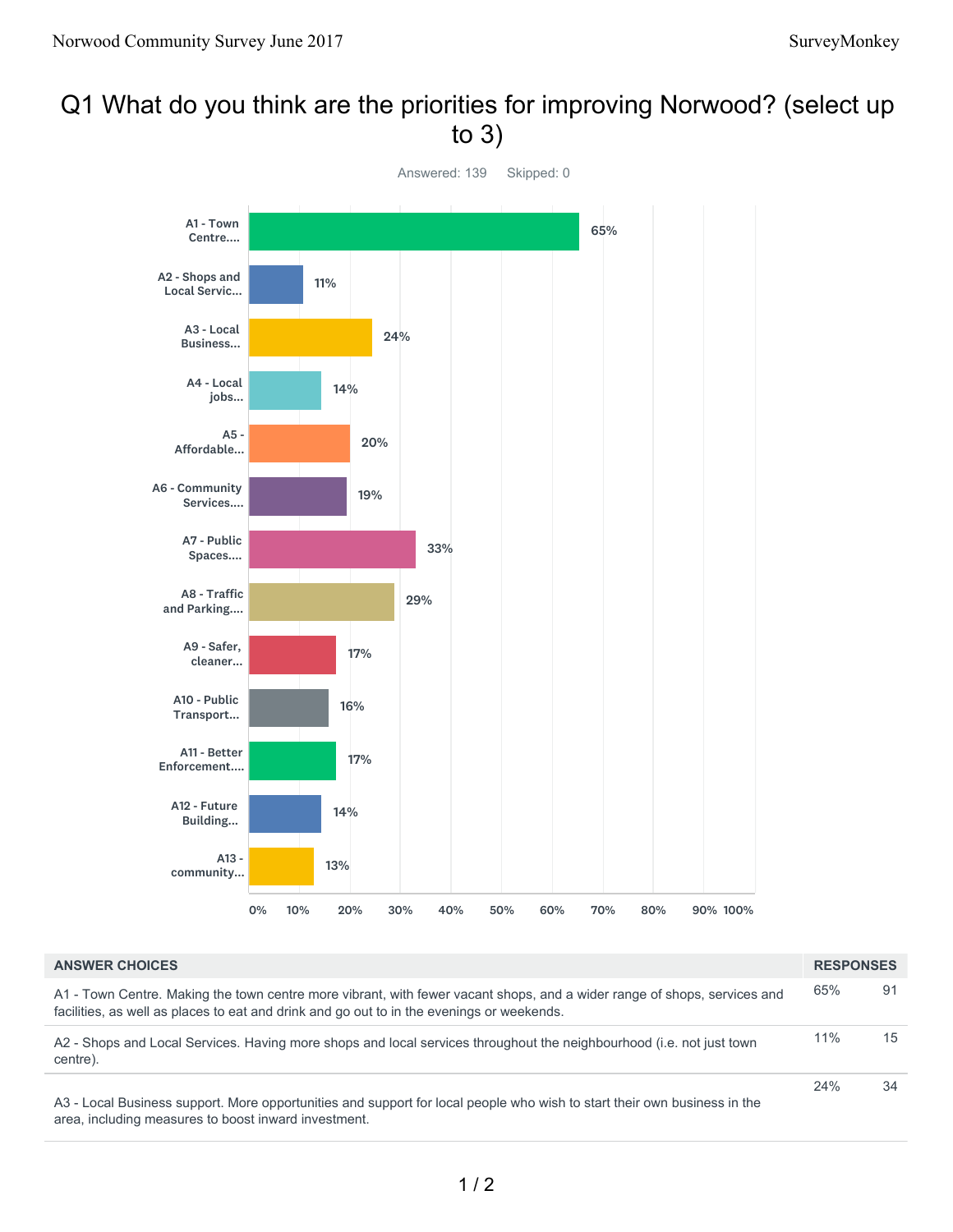## Q1 What do you think are the priorities for improving Norwood? (select up to 3)



| <b>ANSWER CHOICES</b>                                                                                                                                                                                                 | <b>RESPONSES</b> |    |
|-----------------------------------------------------------------------------------------------------------------------------------------------------------------------------------------------------------------------|------------------|----|
| A1 - Town Centre. Making the town centre more vibrant, with fewer vacant shops, and a wider range of shops, services and<br>facilities, as well as places to eat and drink and go out to in the evenings or weekends. | 65%              | 91 |
| A2 - Shops and Local Services. Having more shops and local services throughout the neighbourhood (i.e. not just town<br>centre).                                                                                      | 11%              | 15 |
| A3 - Local Business support. More opportunities and support for local people who wish to start their own business in the<br>area, including measures to boost inward investment.                                      | 24%              | 34 |